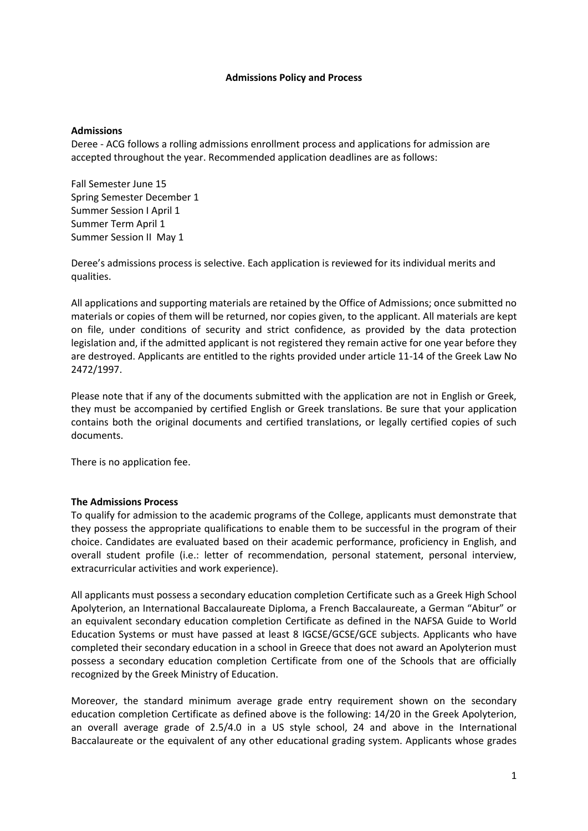#### **Admissions Policy and Process**

### **Admissions**

Deree - ACG follows a rolling admissions enrollment process and applications for admission are accepted throughout the year. Recommended application deadlines are as follows:

Fall Semester June 15 Spring Semester December 1 Summer Session I April 1 Summer Term April 1 Summer Session II May 1

Deree's admissions process is selective. Each application is reviewed for its individual merits and qualities.

All applications and supporting materials are retained by the Office of Admissions; once submitted no materials or copies of them will be returned, nor copies given, to the applicant. All materials are kept on file, under conditions of security and strict confidence, as provided by the data protection legislation and, if the admitted applicant is not registered they remain active for one year before they are destroyed. Applicants are entitled to the rights provided under article 11-14 of the Greek Law No 2472/1997.

Please note that if any of the documents submitted with the application are not in English or Greek, they must be accompanied by certified English or Greek translations. Be sure that your application contains both the original documents and certified translations, or legally certified copies of such documents.

There is no application fee.

### **The Admissions Process**

To qualify for admission to the academic programs of the College, applicants must demonstrate that they possess the appropriate qualifications to enable them to be successful in the program of their choice. Candidates are evaluated based on their academic performance, proficiency in English, and overall student profile (i.e.: letter of recommendation, personal statement, personal interview, extracurricular activities and work experience).

All applicants must possess a secondary education completion Certificate such as a Greek High School Apolyterion, an International Baccalaureate Diploma, a French Baccalaureate, a German "Abitur" or an equivalent secondary education completion Certificate as defined in the NAFSA Guide to World Education Systems or must have passed at least 8 IGCSE/GCSE/GCE subjects. Αpplicants who have completed their secondary education in a school in Greece that does not award an Apolyterion must possess a secondary education completion Certificate from one of the Schools that are officially recognized by the Greek Ministry of Education.

Moreover, the standard minimum average grade entry requirement shown on the secondary education completion Certificate as defined above is the following: 14/20 in the Greek Apolyterion, an overall average grade of 2.5/4.0 in a US style school, 24 and above in the International Baccalaureate or the equivalent of any other educational grading system. Applicants whose grades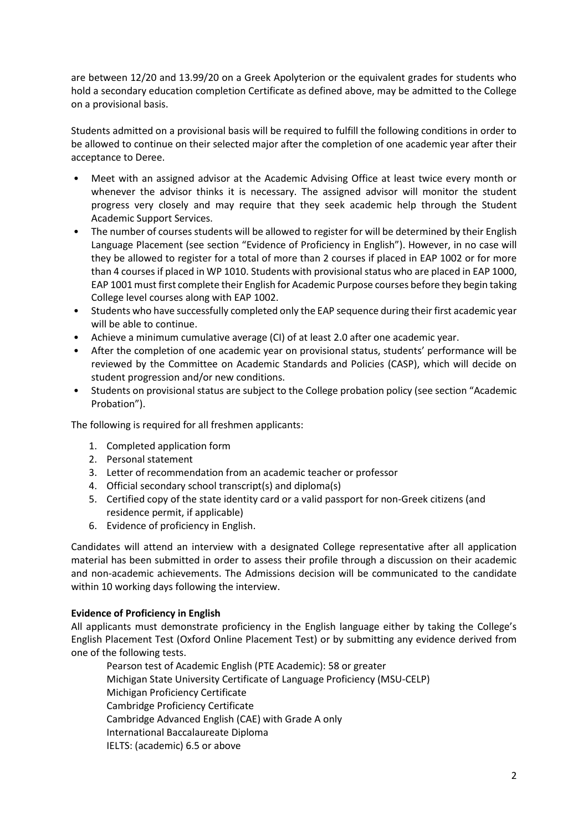are between 12/20 and 13.99/20 on a Greek Apolyterion or the equivalent grades for students who hold a secondary education completion Certificate as defined above, may be admitted to the College on a provisional basis.

Students admitted on a provisional basis will be required to fulfill the following conditions in order to be allowed to continue on their selected major after the completion of one academic year after their acceptance to Deree.

- Meet with an assigned advisor at the Academic Advising Office at least twice every month or whenever the advisor thinks it is necessary. The assigned advisor will monitor the student progress very closely and may require that they seek academic help through the Student Academic Support Services.
- The number of courses students will be allowed to register for will be determined by their English Language Placement (see section "Evidence of Proficiency in English"). However, in no case will they be allowed to register for a total of more than 2 courses if placed in EAP 1002 or for more than 4 courses if placed in WP 1010. Students with provisional status who are placed in EAP 1000, EAP 1001 must first complete their English for Academic Purpose courses before they begin taking College level courses along with EAP 1002.
- Students who have successfully completed only the EAP sequence during their first academic year will be able to continue.
- Achieve a minimum cumulative average (CI) of at least 2.0 after one academic year.
- After the completion of one academic year on provisional status, students' performance will be reviewed by the Committee on Academic Standards and Policies (CASP), which will decide on student progression and/or new conditions.
- Students on provisional status are subject to the College probation policy (see section "Academic Probation").

The following is required for all freshmen applicants:

- 1. Completed application form
- 2. Personal statement
- 3. Letter of recommendation from an academic teacher or professor
- 4. Official secondary school transcript(s) and diploma(s)
- 5. Certified copy of the state identity card or a valid passport for non-Greek citizens (and residence permit, if applicable)
- 6. Evidence of proficiency in English.

Candidates will attend an interview with a designated College representative after all application material has been submitted in order to assess their profile through a discussion on their academic and non-academic achievements. The Admissions decision will be communicated to the candidate within 10 working days following the interview.

### **Evidence of Proficiency in English**

All applicants must demonstrate proficiency in the English language either by taking the College's English Placement Test (Oxford Online Placement Test) or by submitting any evidence derived from one of the following tests.

Pearson test of Academic English (PTE Academic): 58 or greater Michigan State University Certificate of Language Proficiency (MSU-CELP) Michigan Proficiency Certificate Cambridge Proficiency Certificate Cambridge Advanced English (CAE) with Grade A only International Baccalaureate Diploma IELTS: (academic) 6.5 or above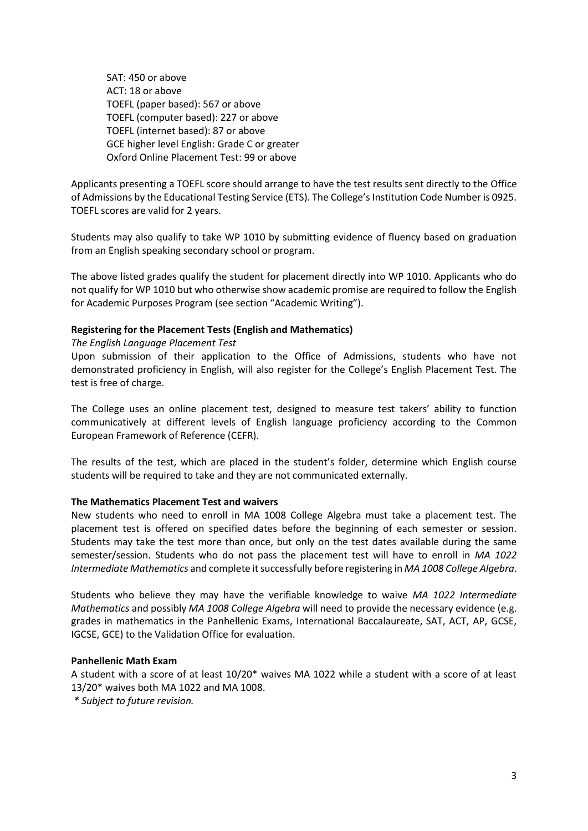SAT: 450 or above ACT: 18 or above TOEFL (paper based): 567 or above TOEFL (computer based): 227 or above TOEFL (internet based): 87 or above GCE higher level English: Grade C or greater Oxford Online Placement Test: 99 or above

Applicants presenting a TOEFL score should arrange to have the test results sent directly to the Office of Admissions by the Educational Testing Service (ETS). The College's Institution Code Number is 0925. TOEFL scores are valid for 2 years.

Students may also qualify to take WP 1010 by submitting evidence of fluency based on graduation from an English speaking secondary school or program.

The above listed grades qualify the student for placement directly into WP 1010. Applicants who do not qualify for WP 1010 but who otherwise show academic promise are required to follow the English for Academic Purposes Program (see section "Academic Writing").

### **Registering for the Placement Tests (English and Mathematics)**

*The English Language Placement Test*

Upon submission of their application to the Office of Admissions, students who have not demonstrated proficiency in English, will also register for the College's English Placement Test. The test is free of charge.

The College uses an online placement test, designed to measure test takers' ability to function communicatively at different levels of English language proficiency according to the Common European Framework of Reference (CEFR).

The results of the test, which are placed in the student's folder, determine which English course students will be required to take and they are not communicated externally.

#### **The Mathematics Placement Test and waivers**

New students who need to enroll in MA 1008 College Algebra must take a placement test. The placement test is offered on specified dates before the beginning of each semester or session. Students may take the test more than once, but only on the test dates available during the same semester/session. Students who do not pass the placement test will have to enroll in *MA 1022 Intermediate Mathematics* and complete it successfully before registering in *MA 1008 College Algebra*.

Students who believe they may have the verifiable knowledge to waive *MA 1022 Intermediate Mathematics* and possibly *MA 1008 College Algebra* will need to provide the necessary evidence (e.g. grades in mathematics in the Panhellenic Exams, International Baccalaureate, SAT, ACT, AP, GCSE, IGCSE, GCE) to the Validation Office for evaluation.

#### **Panhellenic Math Exam**

A student with a score of at least 10/20\* waives MA 1022 while a student with a score of at least 13/20\* waives both MA 1022 and MA 1008.

*\* Subject to future revision.*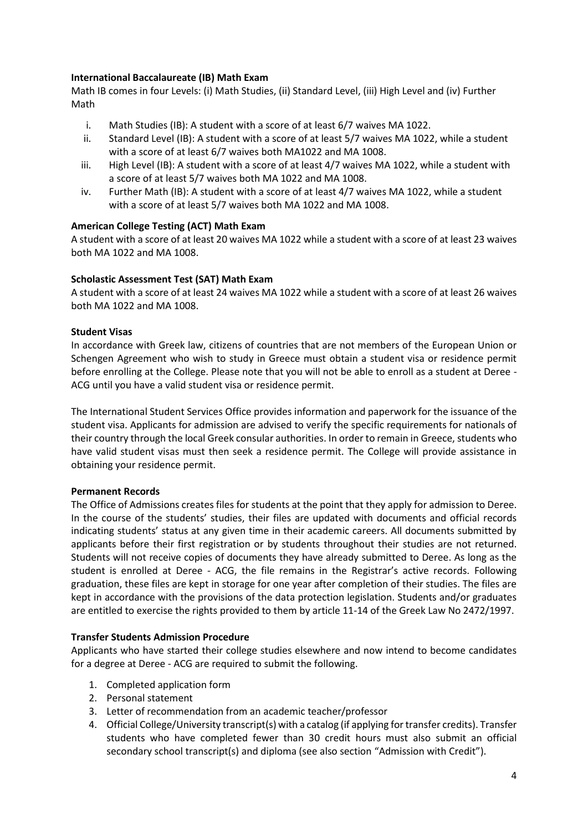# **International Baccalaureate (IB) Math Exam**

Math IB comes in four Levels: (i) Math Studies, (ii) Standard Level, (iii) High Level and (iv) Further Math

- i. Math Studies (IB): A student with a score of at least 6/7 waives MA 1022.
- ii. Standard Level (IB): A student with a score of at least 5/7 waives MA 1022, while a student with a score of at least 6/7 waives both MA1022 and MA 1008.
- iii. High Level (IB): A student with a score of at least 4/7 waives MA 1022, while a student with a score of at least 5/7 waives both MA 1022 and MA 1008.
- iv. Further Math (IB): A student with a score of at least 4/7 waives MA 1022, while a student with a score of at least 5/7 waives both MA 1022 and MA 1008.

## **American College Testing (ACT) Math Exam**

A student with a score of at least 20 waives MA 1022 while a student with a score of at least 23 waives both MA 1022 and MA 1008.

## **Scholastic Assessment Test (SAT) Math Exam**

A student with a score of at least 24 waives MA 1022 while a student with a score of at least 26 waives both MA 1022 and MA 1008.

### **Student Visas**

In accordance with Greek law, citizens of countries that are not members of the European Union or Schengen Agreement who wish to study in Greece must obtain a student visa or residence permit before enrolling at the College. Please note that you will not be able to enroll as a student at Deree - ACG until you have a valid student visa or residence permit.

The International Student Services Office provides information and paperwork for the issuance of the student visa. Applicants for admission are advised to verify the specific requirements for nationals of their country through the local Greek consular authorities. In order to remain in Greece, students who have valid student visas must then seek a residence permit. The College will provide assistance in obtaining your residence permit.

### **Permanent Records**

The Office of Admissions creates files for students at the point that they apply for admission to Deree. In the course of the students' studies, their files are updated with documents and official records indicating students' status at any given time in their academic careers. All documents submitted by applicants before their first registration or by students throughout their studies are not returned. Students will not receive copies of documents they have already submitted to Deree. As long as the student is enrolled at Deree - ACG, the file remains in the Registrar's active records. Following graduation, these files are kept in storage for one year after completion of their studies. The files are kept in accordance with the provisions of the data protection legislation. Students and/or graduates are entitled to exercise the rights provided to them by article 11-14 of the Greek Law No 2472/1997.

### **Transfer Students Admission Procedure**

Applicants who have started their college studies elsewhere and now intend to become candidates for a degree at Deree - ACG are required to submit the following.

- 1. Completed application form
- 2. Personal statement
- 3. Letter of recommendation from an academic teacher/professor
- 4. Official College/University transcript(s) with a catalog (if applying for transfer credits). Transfer students who have completed fewer than 30 credit hours must also submit an official secondary school transcript(s) and diploma (see also section "Admission with Credit").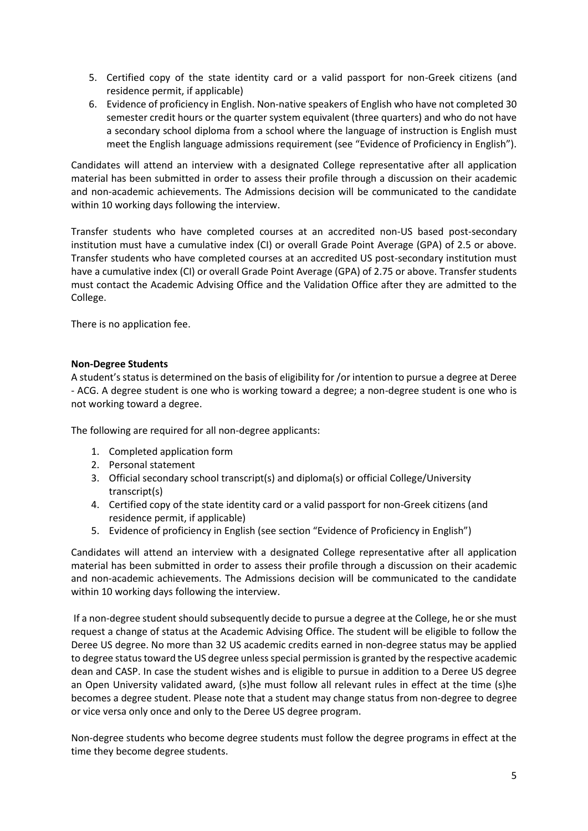- 5. Certified copy of the state identity card or a valid passport for non-Greek citizens (and residence permit, if applicable)
- 6. Evidence of proficiency in English. Non-native speakers of English who have not completed 30 semester credit hours or the quarter system equivalent (three quarters) and who do not have a secondary school diploma from a school where the language of instruction is English must meet the English language admissions requirement (see "Evidence of Proficiency in English").

Candidates will attend an interview with a designated College representative after all application material has been submitted in order to assess their profile through a discussion on their academic and non-academic achievements. The Admissions decision will be communicated to the candidate within 10 working days following the interview.

Transfer students who have completed courses at an accredited non-US based post-secondary institution must have a cumulative index (CI) or overall Grade Point Average (GPA) of 2.5 or above. Transfer students who have completed courses at an accredited US post-secondary institution must have a cumulative index (CI) or overall Grade Point Average (GPA) of 2.75 or above. Transfer students must contact the Academic Advising Office and the Validation Office after they are admitted to the College.

There is no application fee.

## **Non-Degree Students**

A student's status is determined on the basis of eligibility for /or intention to pursue a degree at Deree - ACG. A degree student is one who is working toward a degree; a non-degree student is one who is not working toward a degree.

The following are required for all non-degree applicants:

- 1. Completed application form
- 2. Personal statement
- 3. Official secondary school transcript(s) and diploma(s) or official College/University transcript(s)
- 4. Certified copy of the state identity card or a valid passport for non-Greek citizens (and residence permit, if applicable)
- 5. Evidence of proficiency in English (see section "Evidence of Proficiency in English")

Candidates will attend an interview with a designated College representative after all application material has been submitted in order to assess their profile through a discussion on their academic and non-academic achievements. The Admissions decision will be communicated to the candidate within 10 working days following the interview.

If a non-degree student should subsequently decide to pursue a degree at the College, he or she must request a change of status at the Academic Advising Office. The student will be eligible to follow the Deree US degree. No more than 32 US academic credits earned in non-degree status may be applied to degree status toward the US degree unless special permission is granted by the respective academic dean and CASP. In case the student wishes and is eligible to pursue in addition to a Deree US degree an Open University validated award, (s)he must follow all relevant rules in effect at the time (s)he becomes a degree student. Please note that a student may change status from non-degree to degree or vice versa only once and only to the Deree US degree program.

Non-degree students who become degree students must follow the degree programs in effect at the time they become degree students.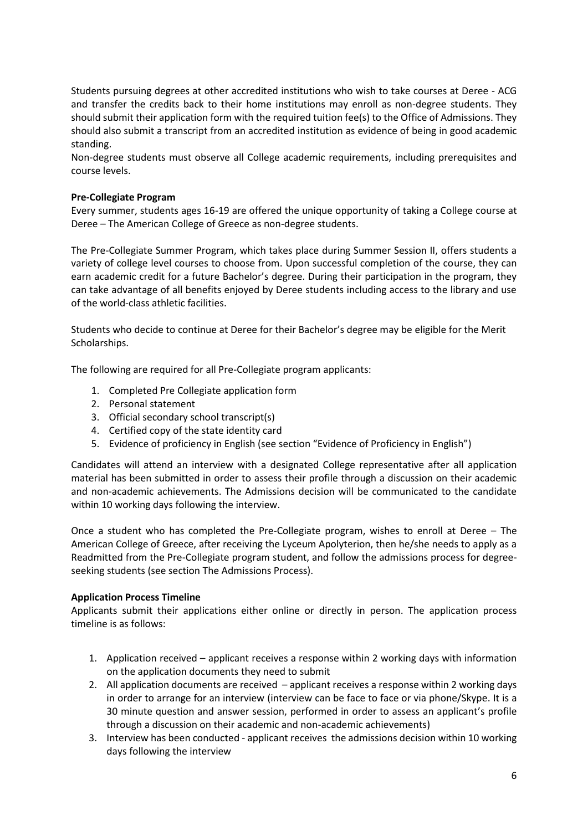Students pursuing degrees at other accredited institutions who wish to take courses at Deree - ACG and transfer the credits back to their home institutions may enroll as non-degree students. They should submit their application form with the required tuition fee(s) to the Office of Admissions. They should also submit a transcript from an accredited institution as evidence of being in good academic standing.

Non-degree students must observe all College academic requirements, including prerequisites and course levels.

### **Pre-Collegiate Program**

Every summer, students ages 16-19 are offered the unique opportunity of taking a College course at Deree – The American College of Greece as non-degree students.

The Pre-Collegiate Summer Program, which takes place during Summer Session II, offers students a variety of college level courses to choose from. Upon successful completion of the course, they can earn academic credit for a future Bachelor's degree. During their participation in the program, they can take advantage of all benefits enjoyed by Deree students including access to the library and use of the world-class athletic facilities.

Students who decide to continue at Deree for their Bachelor's degree may be eligible for the Merit Scholarships.

The following are required for all Pre-Collegiate program applicants:

- 1. Completed Pre Collegiate application form
- 2. Personal statement
- 3. Official secondary school transcript(s)
- 4. Certified copy of the state identity card
- 5. Evidence of proficiency in English (see section "Evidence of Proficiency in English")

Candidates will attend an interview with a designated College representative after all application material has been submitted in order to assess their profile through a discussion on their academic and non-academic achievements. The Admissions decision will be communicated to the candidate within 10 working days following the interview.

Once a student who has completed the Pre-Collegiate program, wishes to enroll at Deree – The American College of Greece, after receiving the Lyceum Apolyterion, then he/she needs to apply as a Readmitted from the Pre-Collegiate program student, and follow the admissions process for degreeseeking students (see section The Admissions Process).

### **Application Process Timeline**

Applicants submit their applications either online or directly in person. The application process timeline is as follows:

- 1. Application received applicant receives a response within 2 working days with information on the application documents they need to submit
- 2. All application documents are received applicant receives a response within 2 working days in order to arrange for an interview (interview can be face to face or via phone/Skype. It is a 30 minute question and answer session, performed in order to assess an applicant's profile through a discussion on their academic and non-academic achievements)
- 3. Interview has been conducted applicant receives the admissions decision within 10 working days following the interview